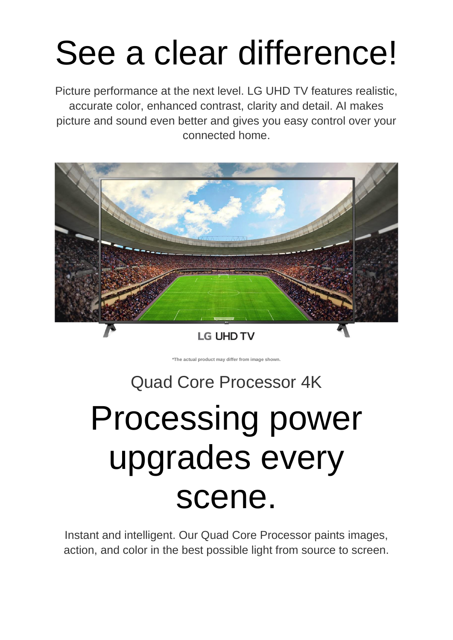# See a clear difference!

Picture performance at the next level. LG UHD TV features realistic, accurate color, enhanced contrast, clarity and detail. AI makes picture and sound even better and gives you easy control over your connected home.



**LG UHD TV** 

**\*The actual product may differ from image shown.**

# Quad Core Processor 4K

# Processing power upgrades every scene.

Instant and intelligent. Our Quad Core Processor paints images, action, and color in the best possible light from source to screen.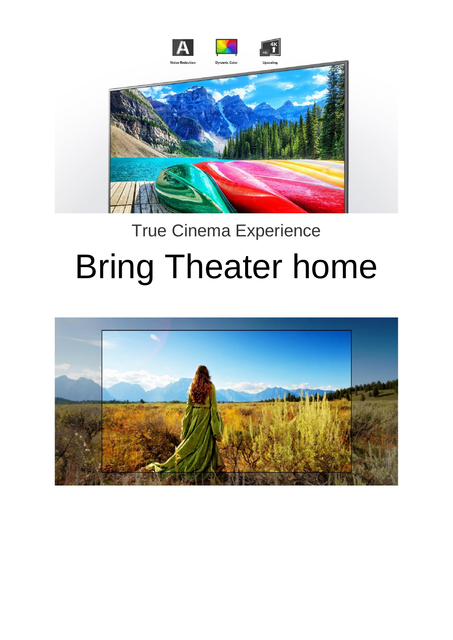

# True Cinema Experience

# Bring Theater home

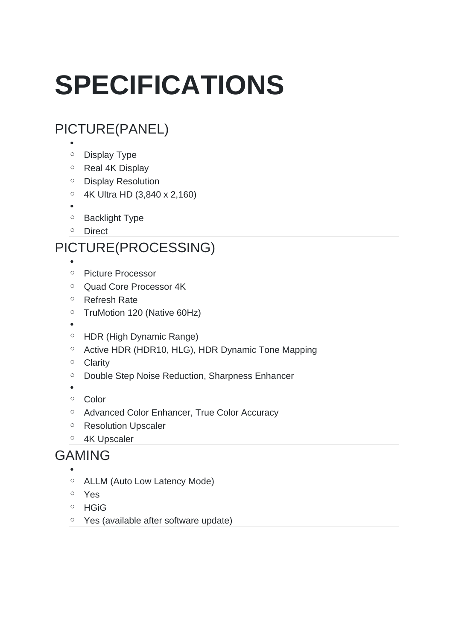# **SPECIFICATIONS**

# PICTURE(PANEL)

- •
- o Display Type
- o Real 4K Display
- o Display Resolution
- o 4K Ultra HD (3,840 x 2,160)
- •
- o Backlight Type
- o Direct

### PICTURE(PROCESSING)

- •
- o Picture Processor
- o Quad Core Processor 4K
- o Refresh Rate
- o TruMotion 120 (Native 60Hz)
- •
- o HDR (High Dynamic Range)
- o Active HDR (HDR10, HLG), HDR Dynamic Tone Mapping
- o Clarity
- o Double Step Noise Reduction, Sharpness Enhancer
- •
- o Color
- o Advanced Color Enhancer, True Color Accuracy
- o Resolution Upscaler
- o 4K Upscaler

#### GAMING

- •
- o ALLM (Auto Low Latency Mode)
- o Yes
- o HGiG
- o Yes (available after software update)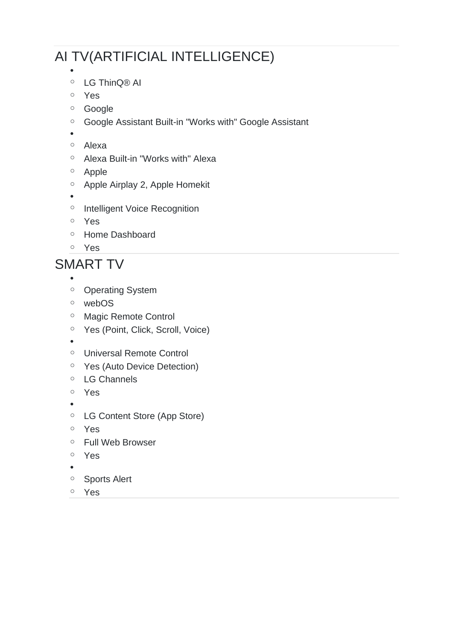## AI TV(ARTIFICIAL INTELLIGENCE)

- o LG ThinQ® AI
- o Yes
- o Google
- o Google Assistant Built-in "Works with" Google Assistant
- •

•

- o Alexa
- o Alexa Built-in "Works with" Alexa
- o Apple
- o Apple Airplay 2, Apple Homekit
- •
- o Intelligent Voice Recognition
- o Yes
- o Home Dashboard
- o Yes

#### SMART TV

- •
- o Operating System
- o webOS
- o Magic Remote Control
- o Yes (Point, Click, Scroll, Voice)
- •
- o Universal Remote Control
- o Yes (Auto Device Detection)
- o LG Channels
- o Yes
- •
- o LG Content Store (App Store)
- o Yes
- o Full Web Browser
- o Yes
- •
- o Sports Alert
- o Yes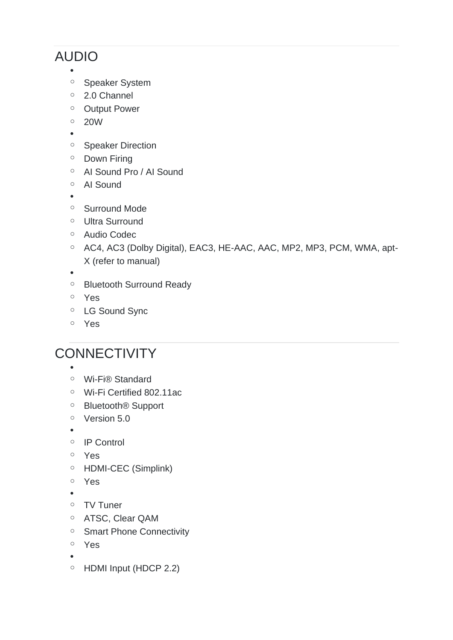## AUDIO

•

- o Speaker System
- o 2.0 Channel
- o Output Power
- o 20W
- •
- o Speaker Direction
- o Down Firing
- o AI Sound Pro / AI Sound
- o AI Sound
- •
- o Surround Mode
- o Ultra Surround
- o Audio Codec
- o AC4, AC3 (Dolby Digital), EAC3, HE-AAC, AAC, MP2, MP3, PCM, WMA, apt-X (refer to manual)
- •
- o Bluetooth Surround Ready
- o Yes
- o LG Sound Sync
- o Yes

### **CONNECTIVITY**

- •
- o Wi-Fi® Standard
- o Wi-Fi Certified 802.11ac
- o Bluetooth® Support
- o Version 5.0
- •
- o IP Control
- o Yes
- o HDMI-CEC (Simplink)
- o Yes
- •
- o TV Tuner
- o ATSC, Clear QAM
- o Smart Phone Connectivity
- o Yes
- •
- o HDMI Input (HDCP 2.2)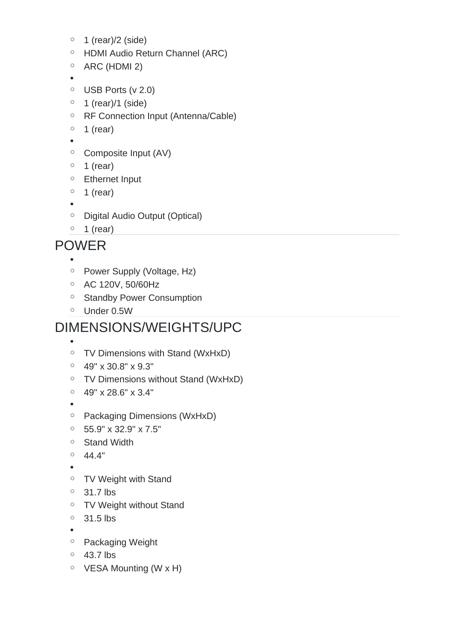- $\circ$  1 (rear)/2 (side)
- o HDMI Audio Return Channel (ARC)
- $\circ$  ARC (HDMI 2)

•

- $\circ$  USB Ports (v 2.0)
- $\circ$  1 (rear)/1 (side)
- o RF Connection Input (Antenna/Cable)
- $\circ$  1 (rear)
- •
- $\circ$  Composite Input (AV)
- $\circ$  1 (rear)
- o Ethernet Input
- $\circ$  1 (rear)
- •
- o Digital Audio Output (Optical)
- $\circ$  1 (rear)

#### POWER

•

- o Power Supply (Voltage, Hz)
- o AC 120V, 50/60Hz
- o Standby Power Consumption
- o Under 0.5W

#### DIMENSIONS/WEIGHTS/UPC

- o TV Dimensions with Stand (WxHxD)
- $\circ$  49" x 30.8" x 9.3"
- o TV Dimensions without Stand (WxHxD)
- $\degree$  49" x 28.6" x 3.4"
- •

•

- o Packaging Dimensions (WxHxD)
- $\degree$  55.9" x 32.9" x 7.5"
- o Stand Width
- $^{\circ}$  44.4"
- •
- o TV Weight with Stand
- $\circ$  31.7 lbs
- o TV Weight without Stand
- $\circ$  31.5 lbs
- •
- o Packaging Weight
- $0$  43.7 lbs
- $\circ$  VESA Mounting (W x H)